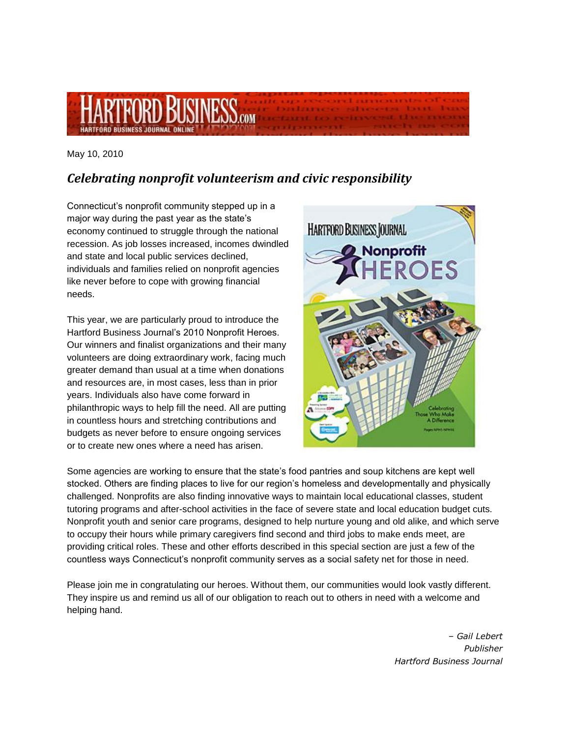

May 10, 2010

## *Celebrating nonprofit volunteerism and civic responsibility*

Connecticut's nonprofit community stepped up in a major way during the past year as the state's economy continued to struggle through the national recession. As job losses increased, incomes dwindled and state and local public services declined, individuals and families relied on nonprofit agencies like never before to cope with growing financial needs.

This year, we are particularly proud to introduce the Hartford Business Journal's 2010 Nonprofit Heroes. Our winners and finalist organizations and their many volunteers are doing extraordinary work, facing much greater demand than usual at a time when donations and resources are, in most cases, less than in prior years. Individuals also have come forward in philanthropic ways to help fill the need. All are putting in countless hours and stretching contributions and budgets as never before to ensure ongoing services or to create new ones where a need has arisen.



Some agencies are working to ensure that the state's food pantries and soup kitchens are kept well stocked. Others are finding places to live for our region's homeless and developmentally and physically challenged. Nonprofits are also finding innovative ways to maintain local educational classes, student tutoring programs and after-school activities in the face of severe state and local education budget cuts. Nonprofit youth and senior care programs, designed to help nurture young and old alike, and which serve to occupy their hours while primary caregivers find second and third jobs to make ends meet, are providing critical roles. These and other efforts described in this special section are just a few of the countless ways Connecticut's nonprofit community serves as a social safety net for those in need.

Please join me in congratulating our heroes. Without them, our communities would look vastly different. They inspire us and remind us all of our obligation to reach out to others in need with a welcome and helping hand.

> *– Gail Lebert Publisher Hartford Business Journal*